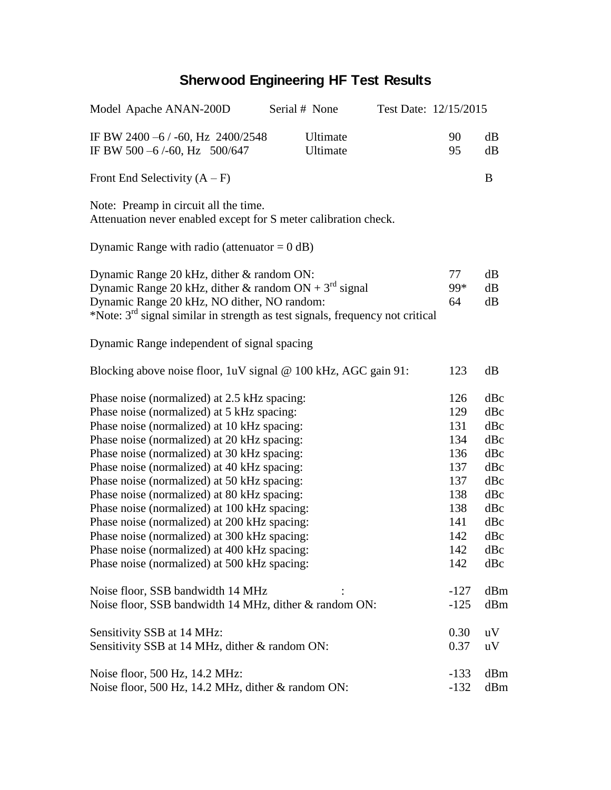## **Sherwood Engineering HF Test Results**

| Model Apache ANAN-200D                                                                                                                                                                                                                                                                                                                                                                                                                                                                                                                                                                                                               | Serial # None        | Test Date: 12/15/2015 |                                                                                         |                                                                                         |
|--------------------------------------------------------------------------------------------------------------------------------------------------------------------------------------------------------------------------------------------------------------------------------------------------------------------------------------------------------------------------------------------------------------------------------------------------------------------------------------------------------------------------------------------------------------------------------------------------------------------------------------|----------------------|-----------------------|-----------------------------------------------------------------------------------------|-----------------------------------------------------------------------------------------|
| IF BW 2400 -6 / -60, Hz 2400/2548<br>IF BW 500 -6/-60, Hz 500/647                                                                                                                                                                                                                                                                                                                                                                                                                                                                                                                                                                    | Ultimate<br>Ultimate |                       | 90<br>95                                                                                | dB<br>dB                                                                                |
| Front End Selectivity $(A - F)$                                                                                                                                                                                                                                                                                                                                                                                                                                                                                                                                                                                                      |                      |                       |                                                                                         | B                                                                                       |
| Note: Preamp in circuit all the time.<br>Attenuation never enabled except for S meter calibration check.                                                                                                                                                                                                                                                                                                                                                                                                                                                                                                                             |                      |                       |                                                                                         |                                                                                         |
| Dynamic Range with radio (attenuator = $0$ dB)                                                                                                                                                                                                                                                                                                                                                                                                                                                                                                                                                                                       |                      |                       |                                                                                         |                                                                                         |
| Dynamic Range 20 kHz, dither & random ON:<br>Dynamic Range 20 kHz, dither & random $ON + 3rd$ signal<br>Dynamic Range 20 kHz, NO dither, NO random:<br>*Note: 3 <sup>rd</sup> signal similar in strength as test signals, frequency not critical                                                                                                                                                                                                                                                                                                                                                                                     |                      |                       | 77<br>99*<br>64                                                                         | dB<br>dB<br>dB                                                                          |
| Dynamic Range independent of signal spacing                                                                                                                                                                                                                                                                                                                                                                                                                                                                                                                                                                                          |                      |                       |                                                                                         |                                                                                         |
| Blocking above noise floor, 1uV signal @ 100 kHz, AGC gain 91:                                                                                                                                                                                                                                                                                                                                                                                                                                                                                                                                                                       |                      |                       | 123                                                                                     | dB                                                                                      |
| Phase noise (normalized) at 2.5 kHz spacing:<br>Phase noise (normalized) at 5 kHz spacing:<br>Phase noise (normalized) at 10 kHz spacing:<br>Phase noise (normalized) at 20 kHz spacing:<br>Phase noise (normalized) at 30 kHz spacing:<br>Phase noise (normalized) at 40 kHz spacing:<br>Phase noise (normalized) at 50 kHz spacing:<br>Phase noise (normalized) at 80 kHz spacing:<br>Phase noise (normalized) at 100 kHz spacing:<br>Phase noise (normalized) at 200 kHz spacing:<br>Phase noise (normalized) at 300 kHz spacing:<br>Phase noise (normalized) at 400 kHz spacing:<br>Phase noise (normalized) at 500 kHz spacing: |                      |                       | 126<br>129<br>131<br>134<br>136<br>137<br>137<br>138<br>138<br>141<br>142<br>142<br>142 | dBc<br>dBc<br>dBc<br>dBc<br>dBc<br>dBc<br>dBc<br>dBc<br>dBc<br>dBc<br>dBc<br>dBc<br>dBc |
| Noise floor, SSB bandwidth 14 MHz<br>Noise floor, SSB bandwidth 14 MHz, dither & random ON:                                                                                                                                                                                                                                                                                                                                                                                                                                                                                                                                          |                      |                       | $-127$<br>$-125$                                                                        | dBm<br>dBm                                                                              |
| Sensitivity SSB at 14 MHz:<br>Sensitivity SSB at 14 MHz, dither & random ON:                                                                                                                                                                                                                                                                                                                                                                                                                                                                                                                                                         |                      |                       | 0.30<br>0.37                                                                            | uV<br>uV                                                                                |
| Noise floor, 500 Hz, 14.2 MHz:<br>Noise floor, 500 Hz, 14.2 MHz, dither & random ON:                                                                                                                                                                                                                                                                                                                                                                                                                                                                                                                                                 |                      |                       | $-133$<br>$-132$                                                                        | dBm<br>dBm                                                                              |